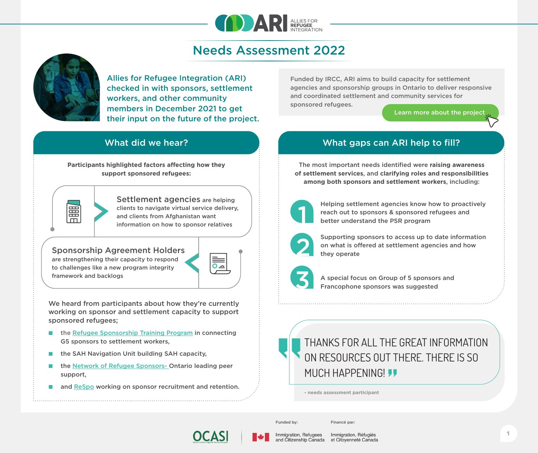

## Needs Assessment 2022



Allies for Refugee Integration (ARI) checked in with sponsors, settlement workers, and other community members in December 2021 to get their input on the future of the project.

## What did we hear?

**Participants highlighted factors affecting how they support sponsored refugees:** 



Settlement agencies are helping clients to navigate virtual service delivery, and clients from Afghanistan want information on how to sponsor relatives

Sponsorship Agreement Holders

are strengthening their capacity to respond to challenges like a new program integrity framework and backlogs



OCAS

We heard from participants about how they're currently working on sponsor and settlement capacity to support sponsored refugees;

- the [Refugee Sponsorship Training Program](https://www.rstp.ca/wp-content/uploads/2021/11/RSTP-Bulletin-November-19-2021.pdf) in connecting G5 sponsors to settlement workers,
- the SAH Navigation Unit building SAH capacity,
- the Network of Refugee Sponsors- Ontario leading peer [support,](https://refugeesponsornet.ca/)
- and [ReSpo](https://www.environicsinstitute.org/docs/default-source/project-documents/welcome-the-stranger-private-sponsorship-study-2021/environics-r613-private-refugee-sponsorship-market-study-2021---final-report-eng.pdf?sfvrsn=9e66b9b2_4) working on sponsor recruitment and retention.

Funded by IRCC, ARI aims to build capacity for settlement agencies and sponsorship groups in Ontario to deliver responsive and coordinated settlement and community services for sponsored refugees.

[Learn more about the project](https://ocasi.org/allies-refugee-integration) 

## What gaps can ARI help to fill?

The most important needs identified were **raising awareness of settlement services**, and **clarifying roles and responsibilities among both sponsors and settlement workers**, including:



Helping settlement agencies know how to proactively reach out to sponsors & sponsored refugees and better understand the PSR program



Supporting sponsors to access up to date information on what is offered at settlement agencies and how they operate



A special focus on Group of 5 sponsors and Francophone sponsors was suggested

# THANKS FOR ALL THE GREAT INFORMATION ON RESOURCES OUT THERE. THERE IS SO MUCH HAPPENING! J

**- needs assessment participant**

Funded by: Financé par:

Immigration, Refugees

Immigration, Réfugiés and Citizenship Canada